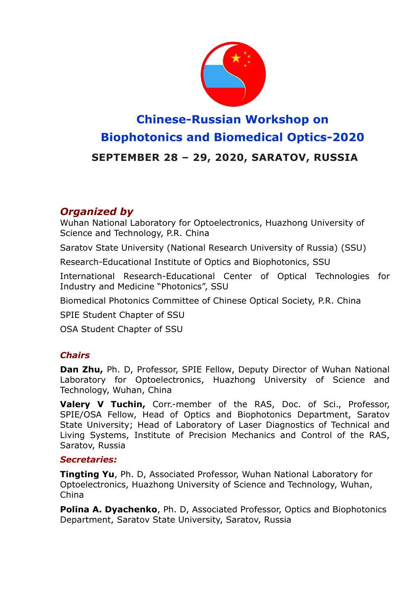

# **Chinese-Russian Workshop on Biophotonics and Biomedical Optics-2020 SEPTEMBER 28 – 29, 2020, SARATOV, RUSSIA**

# *Organized by*

Wuhan National Laboratory for Optoelectronics, Huazhong University of Science and Technology, P.R. China

Saratov State University (National Research University of Russia) (SSU)

Research-Educational Institute of Optics and Biophotonics, SSU

International Research-Educational Center of Optical Technologies for Industry and Medicine "Photonics", SSU

Biomedical Photonics Committee of Chinese Optical Society, P.R. China

SPIE Student Chapter of SSU

OSA Student Chapter of SSU

#### *Chairs*

**Dan Zhu,** Ph. D, Professor, SPIE Fellow, Deputy Director of Wuhan National Laboratory for Optoelectronics, Huazhong University of Science and Technology, Wuhan, China

**Valery V Tuchin,** Corr.-member of the RAS, Doc. of Sci., Professor, SPIE/OSA Fellow, Head of Optics and Biophotonics Department, Saratov State University; Head of Laboratory of Laser Diagnostics of Technical and Living Systems, Institute of Precision Mechanics and Control of the RAS, Saratov, Russia

#### *Secretaries:*

**Tingting Yu**, Ph. D, Associated Professor, Wuhan National Laboratory for Optoelectronics, Huazhong University of Science and Technology, Wuhan, China

**Polina A. Dyachenko**, Ph. D, Associated Professor, Optics and Biophotonics Department, Saratov State University, Saratov, Russia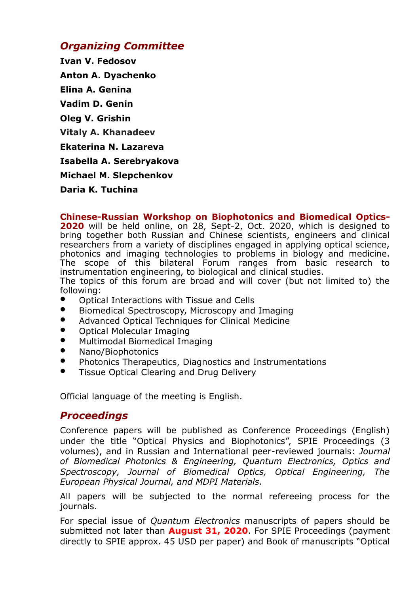# *Organizing Committee*

**Ivan V. Fedosov Anton A. Dyachenko Elina A. Genina Vadim D. Genin Oleg V. Grishin Vitaly A. Khanadeev Ekaterina N. Lazareva Isabella A. Serebryakova Michael M. Slepchenkov Daria K. Tuchina**

**Chinese-Russian Workshop on Biophotonics and Biomedical Optics-**

**2020** will be held online, on 28, Sept-2, Oct. 2020, which is designed to bring together both Russian and Chinese scientists, engineers and clinical researchers from a variety of disciplines engaged in applying optical science, photonics and imaging technologies to problems in biology and medicine. The scope of this bilateral Forum ranges from basic research to instrumentation engineering, to biological and clinical studies.

The topics of this forum are broad and will cover (but not limited to) the following:

- Optical Interactions with Tissue and Cells
- Biomedical Spectroscopy, Microscopy and Imaging
- Advanced Optical Techniques for Clinical Medicine
- Optical Molecular Imaging
- **•** Multimodal Biomedical Imaging
- Nano/Biophotonics
- Photonics Therapeutics, Diagnostics and Instrumentations
- Tissue Optical Clearing and Drug Delivery

Official language of the meeting is English.

## *Proceedings*

Conference papers will be published as Conference Proceedings (English) under the title "Optical Physics and Biophotonics", SPIE Proceedings (3 volumes), and in Russian and International peer-reviewed journals: *Journal of Biomedical Photonics & Engineering, Quantum Electronics, Optics and Spectroscopy, Journal of Biomedical Optics, Optical Engineering, The European Physical Journal, and MDPI Materials.* 

All papers will be subjected to the normal refereeing process for the journals.

For special issue of *Quantum Electronics* manuscripts of papers should be submitted not later than **August 31, 2020**. For SPIE Proceedings (payment directly to SPIE approx. 45 USD per paper) and Book of manuscripts "Optical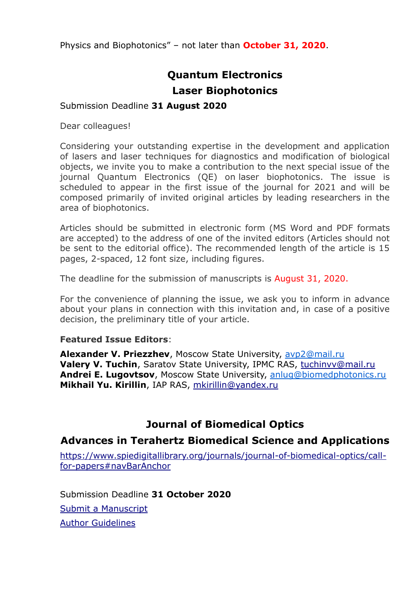Physics and Biophotonics" – not later than **October 31, 2020**.

# **Quantum Electronics Laser Biophotonics**

#### Submission Deadline **31 August 2020**

Dear colleagues!

Considering your outstanding expertise in the development and application of lasers and laser techniques for diagnostics and modification of biological objects, we invite you to make a contribution to the next special issue of the journal Quantum Electronics (QE) on laser biophotonics. The issue is scheduled to appear in the first issue of the journal for 2021 and will be composed primarily of invited original articles by leading researchers in the area of biophotonics.

Articles should be submitted in electronic form (MS Word and PDF formats are accepted) to the address of one of the invited editors (Articles should not be sent to the editorial office). The recommended length of the article is 15 pages, 2-spaced, 12 font size, including figures.

The deadline for the submission of manuscripts is August 31, 2020.

For the convenience of planning the issue, we ask you to inform in advance about your plans in connection with this invitation and, in case of a positive decision, the preliminary title of your article.

#### **Featured Issue Editors**:

**Alexander V. Priezzhev**, Moscow State University, [avp2@mail.ru](http://e.mail.ru/compose/?mailto=mailto%3aavp2@mail.ru) **Valery V. Tuchin**, Saratov State University, IPMC RAS, [tuchinvv@mail.ru](mailto:tuchinvv@mail.ru) **Andrei E. Lugovtsov**, Moscow State University, [anlug@biomedphotonics.ru](http://e.mail.ru/compose/?mailto=mailto%3aanlug@biomedphotonics.ru) **Mikhail Yu. Kirillin**, IAP RAS, [mkirillin@yandex.ru](http://e.mail.ru/compose/?mailto=mailto%3amkirillin@yandex.ru)

# **Journal of Biomedical Optics**

## **Advances in Terahertz Biomedical Science and Applications**

[https://www.spiedigitallibrary.org/journals/journal-of-biomedical-optics/call](https://www.spiedigitallibrary.org/journals/journal-of-biomedical-optics/call-for-papers#navBarAnchor)[for-papers#navBarAnchor](https://www.spiedigitallibrary.org/journals/journal-of-biomedical-optics/call-for-papers#navBarAnchor)

Submission Deadline **31 October 2020** [Submit a Manuscript](https://jbo.msubmit.net/) [Author Guidelines](https://www.spiedigitallibrary.org/journals/journal-of-biomedical-optics/author-guidelines)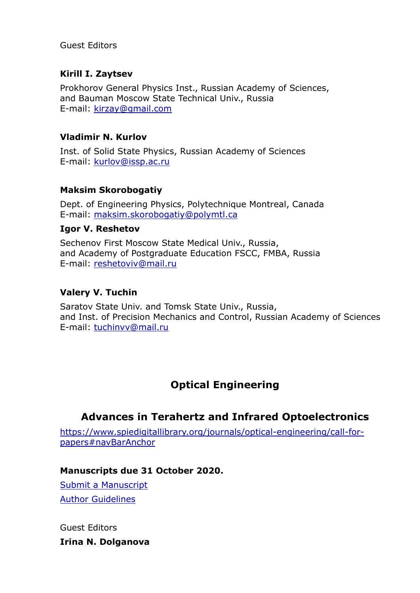Guest Editors

## **Kirill I. Zaytsev**

Prokhorov General Physics Inst., Russian Academy of Sciences, and Bauman Moscow State Technical Univ., Russia E-mail: [kirzay@gmail.com](mailto:kirzay@gmail.com)

#### **Vladimir N. Kurlov**

Inst. of Solid State Physics, Russian Academy of Sciences E-mail: [kurlov@issp.ac.ru](mailto:kurlov@issp.ac.ru)

#### **Maksim Skorobogatiy**

Dept. of Engineering Physics, Polytechnique Montreal, Canada E-mail: [maksim.skorobogatiy@polymtl.ca](mailto:maksim.skorobogatiy@polymtl.ca)

#### **Igor V. Reshetov**

Sechenov First Moscow State Medical Univ., Russia, and Academy of Postgraduate Education FSCC, FMBA, Russia E-mail: [reshetoviv@mail.ru](mailto:reshetoviv@mail.ru)

#### **Valery V. Tuchin**

Saratov State Univ. and Tomsk State Univ., Russia, and Inst. of Precision Mechanics and Control, Russian Academy of Sciences E-mail: [tuchinvv@mail.ru](mailto:tuchinvv@mail.ru)

# **Optical Engineering**

# **Advances in Terahertz and Infrared Optoelectronics**

[https://www.spiedigitallibrary.org/journals/optical-engineering/call-for](https://www.spiedigitallibrary.org/journals/optical-engineering/call-for-papers#navBarAnchor)[papers#navBarAnchor](https://www.spiedigitallibrary.org/journals/optical-engineering/call-for-papers#navBarAnchor)

#### **Manuscripts due 31 October 2020.**

[Submit a Manuscript](https://oe.msubmit.net/) [Author Guidelines](https://www.spiedigitallibrary.org/journals/optical-engineering/author-guidelines)

Guest Editors **Irina N. Dolganova**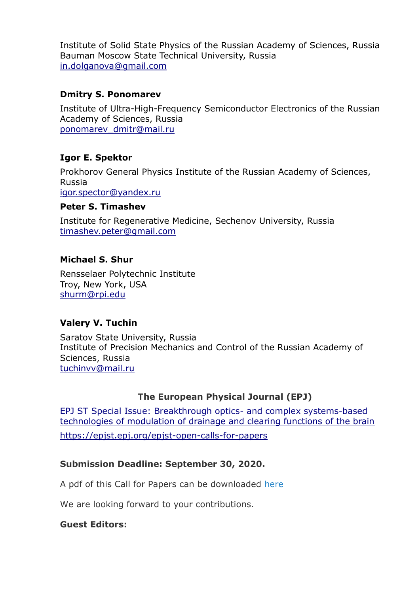Institute of Solid State Physics of the Russian Academy of Sciences, Russia Bauman Moscow State Technical University, Russia [in.dolganova@gmail.com](mailto:in.dolganova@gmail.com)

#### **Dmitry S. Ponomarev**

Institute of Ultra-High-Frequency Semiconductor Electronics of the Russian Academy of Sciences, Russia [ponomarev\\_dmitr@mail.ru](mailto:ponomarev_dmitr@mail.ru)

#### **Igor E. Spektor**

Prokhorov General Physics Institute of the Russian Academy of Sciences, Russia

[igor.spector@yandex.ru](mailto:igor.spector@yandex.ru)

#### **Peter S. Timashev**

Institute for Regenerative Medicine, Sechenov University, Russia [timashev.peter@gmail.com](mailto:timashev.peter@gmail.com)

#### **Michael S. Shur**

Rensselaer Polytechnic Institute Troy, New York, USA [shurm@rpi.edu](mailto:shurm@rpi.edu)

## **Valery V. Tuchin**

Saratov State University, Russia Institute of Precision Mechanics and Control of the Russian Academy of Sciences, Russia [tuchinvv@mail.ru](mailto:tuchinvv@mail.ru)

#### **The European Physical Journal (EPJ)**

[EPJ ST Special Issue: Breakthrough optics-](https://epjst.epj.org/open-calls-for-papers/85-epj-st/1932-epjst-special-issue-breakthrough-optics-and-complex-systems-based-technologies-of-modulation-of-drainage-and-clearing-functions-of-the-brain) and complex systems-based [technologies of modulation of drainage and clearing functions of the brain](https://epjst.epj.org/open-calls-for-papers/85-epj-st/1932-epjst-special-issue-breakthrough-optics-and-complex-systems-based-technologies-of-modulation-of-drainage-and-clearing-functions-of-the-brain) <https://epjst.epj.org/epjst-open-calls-for-papers>

#### **Submission Deadline: September 30, 2020.**

A pdf of this Call for Papers can be downloaded [here](https://www.epj.org/images/stories/news/2020/call_clearing_functions_of_the_brain.pdf)

We are looking forward to your contributions.

#### **Guest Editors:**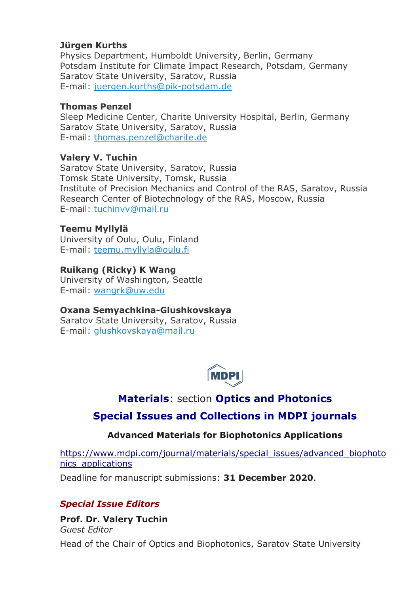#### **Jürgen Kurths**

Physics Department, Humboldt University, Berlin, Germany Potsdam Institute for Climate Impact Research, Potsdam, Germany Saratov State University, Saratov, Russia E-mail: [juergen.kurths@pik-potsdam.de](mailto:juergen.kurths@pik-potsdam.de)

#### **Thomas Penzel**

Sleep Medicine Center, Charite University Hospital, Berlin, Germany Saratov State University, Saratov, Russia E-mail: [thomas.penzel@charite.de](mailto:thomas.penzel@charite.de)

#### **Valery V. Tuchin**

Saratov State University, Saratov, Russia Tomsk State University, Tomsk, Russia Institute of Precision Mechanics and Control of the RAS, Saratov, Russia Research Center of Biotechnology of the RAS, Moscow, Russia E-mail: [tuchinvv@mail.ru](mailto:tuchinvv@mail.ru)

#### **Teemu Myllylä**

University of Oulu, Oulu, Finland E-mail: [teemu.myllyla@oulu.fi](mailto:teemu.myllyla@oulu.fi)

#### **Ruikang (Ricky) K Wang**

University of Washington, Seattle E-mail: [wangrk@uw.edu](mailto:wangrk@uw.edu)

#### **Oxana Semyachkina-Glushkovskaya**

Saratov State University, Saratov, Russia E-mail: [glushkovskaya@mail.ru](mailto:glushkovskaya@mail.ru)



# **[Materials](https://www.mdpi.com/journal/materials)**: section **[Optics and Photonics](https://www.mdpi.com/journal/materials/sections/optics_photonics)**

# **[Special Issues and Collections in MDPI journals](https://www.mdpi.com/journal/materials/special_issues/advanced_biophotonics_applications)**

#### **Advanced Materials for Biophotonics Applications**

[https://www.mdpi.com/journal/materials/special\\_issues/advanced\\_biophoto](https://www.mdpi.com/journal/materials/special_issues/advanced_biophotonics_applications) [nics\\_applications](https://www.mdpi.com/journal/materials/special_issues/advanced_biophotonics_applications)

Deadline for manuscript submissions: **31 December 2020**.

#### *Special Issue Editors*

**Prof. Dr. Valery Tuchin** *Guest Editor* Head of the Chair of Optics and Biophotonics, Saratov State University